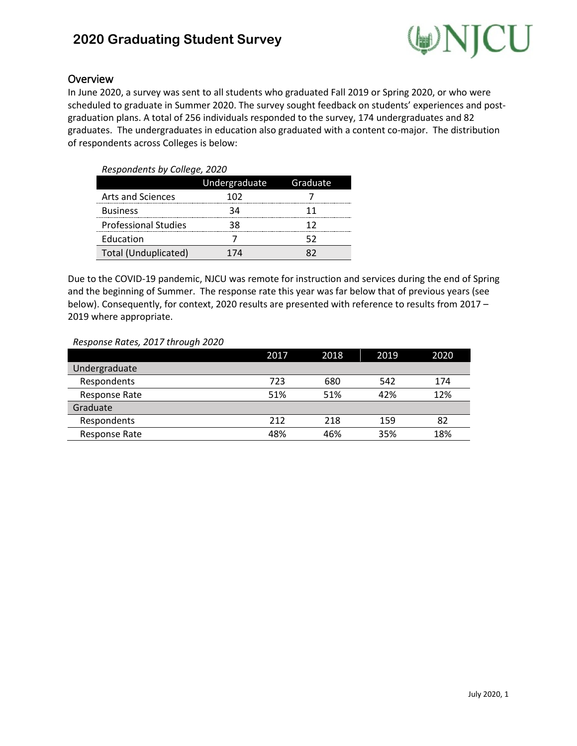# **2020 Graduating Student Survey**



### Overview

In June 2020, a survey was sent to all students who graduated Fall 2019 or Spring 2020, or who were scheduled to graduate in Summer 2020. The survey sought feedback on students' experiences and postgraduation plans. A total of 256 individuals responded to the survey, 174 undergraduates and 82 graduates. The undergraduates in education also graduated with a content co-major. The distribution of respondents across Colleges is below:

| Respondents by College, 2020 |               |          |  |  |
|------------------------------|---------------|----------|--|--|
|                              | Undergraduate | Graduate |  |  |
| Arts and Sciences            | 102           |          |  |  |
| <b>Business</b>              |               |          |  |  |
| <b>Professional Studies</b>  |               |          |  |  |
| Education                    |               |          |  |  |
| Total (Unduplicated)         |               |          |  |  |

Due to the COVID-19 pandemic, NJCU was remote for instruction and services during the end of Spring and the beginning of Summer. The response rate this year was far below that of previous years (see below). Consequently, for context, 2020 results are presented with reference to results from 2017 – 2019 where appropriate.

#### *Response Rates, 2017 through 2020*

|               | 2017 | 2018 | 2019 | 2020 |
|---------------|------|------|------|------|
| Undergraduate |      |      |      |      |
| Respondents   | 723  | 680  | 542  | 174  |
| Response Rate | 51%  | 51%  | 42%  | 12%  |
| Graduate      |      |      |      |      |
| Respondents   | 212  | 218  | 159  | 82   |
| Response Rate | 48%  | 46%  | 35%  | 18%  |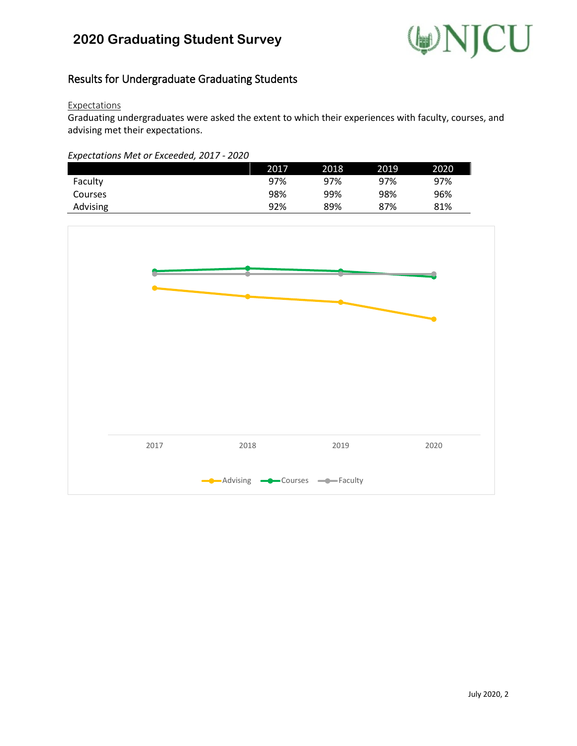

## Results for Undergraduate Graduating Students

#### **Expectations**

Graduating undergraduates were asked the extent to which their experiences with faculty, courses, and advising met their expectations.

#### *Expectations Met or Exceeded, 2017 - 2020*

|          | 2017 | 2018 | 2019 | 2020 |
|----------|------|------|------|------|
| Faculty  | 97%  | 97%  | 97%  | 97%  |
| Courses  | 98%  | 99%  | 98%  | 96%  |
| Advising | 92%  | 89%  | 87%  | 81%  |

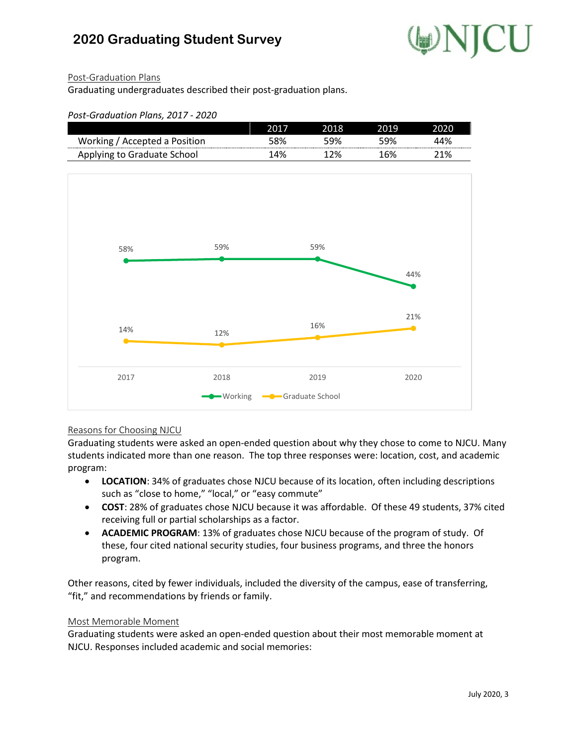

2020

### Post-Graduation Plans

Graduating undergraduates described their post-graduation plans.

| Post-Graduation Plans, 2017 - 2020 |       |      |      |       |
|------------------------------------|-------|------|------|-------|
|                                    | 2017  | 2018 | 2019 |       |
| Working / Accepted a Position      | 58%   | 59%  | 59%  | 14%   |
| Angluing to Creducts Cahool        | 1.00/ | 1301 |      | าง ก/ |



#### Reasons for Choosing NJCU

Graduating students were asked an open-ended question about why they chose to come to NJCU. Many students indicated more than one reason. The top three responses were: location, cost, and academic program:

- **LOCATION**: 34% of graduates chose NJCU because of its location, often including descriptions such as "close to home," "local," or "easy commute"
- **COST**: 28% of graduates chose NJCU because it was affordable. Of these 49 students, 37% cited receiving full or partial scholarships as a factor.
- **ACADEMIC PROGRAM**: 13% of graduates chose NJCU because of the program of study. Of these, four cited national security studies, four business programs, and three the honors program.

Other reasons, cited by fewer individuals, included the diversity of the campus, ease of transferring, "fit," and recommendations by friends or family.

#### Most Memorable Moment

Graduating students were asked an open-ended question about their most memorable moment at NJCU. Responses included academic and social memories: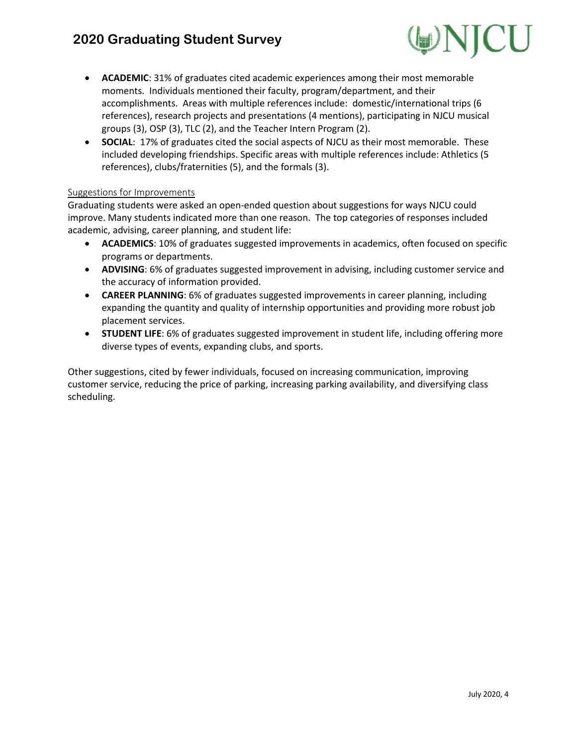# **2020 Graduating Student Survey**



- **ACADEMIC**: 31% of graduates cited academic experiences among their most memorable moments. Individuals mentioned their faculty, program/department, and their accomplishments. Areas with multiple references include: domestic/international trips (6 references), research projects and presentations (4 mentions), participating in NJCU musical groups (3), OSP (3), TLC (2), and the Teacher Intern Program (2).
- **SOCIAL**: 17% of graduates cited the social aspects of NJCU as their most memorable. These included developing friendships. Specific areas with multiple references include: Athletics (5 references), clubs/fraternities (5), and the formals (3).

#### Suggestions for Improvements

Graduating students were asked an open-ended question about suggestions for ways NJCU could improve. Many students indicated more than one reason. The top categories of responses included academic, advising, career planning, and student life:

- **ACADEMICS**: 10% of graduates suggested improvements in academics, often focused on specific programs or departments.
- **ADVISING**: 6% of graduates suggested improvement in advising, including customer service and the accuracy of information provided.
- **CAREER PLANNING**: 6% of graduates suggested improvements in career planning, including expanding the quantity and quality of internship opportunities and providing more robust job placement services.
- **STUDENT LIFE**: 6% of graduates suggested improvement in student life, including offering more diverse types of events, expanding clubs, and sports.

Other suggestions, cited by fewer individuals, focused on increasing communication, improving customer service, reducing the price of parking, increasing parking availability, and diversifying class scheduling.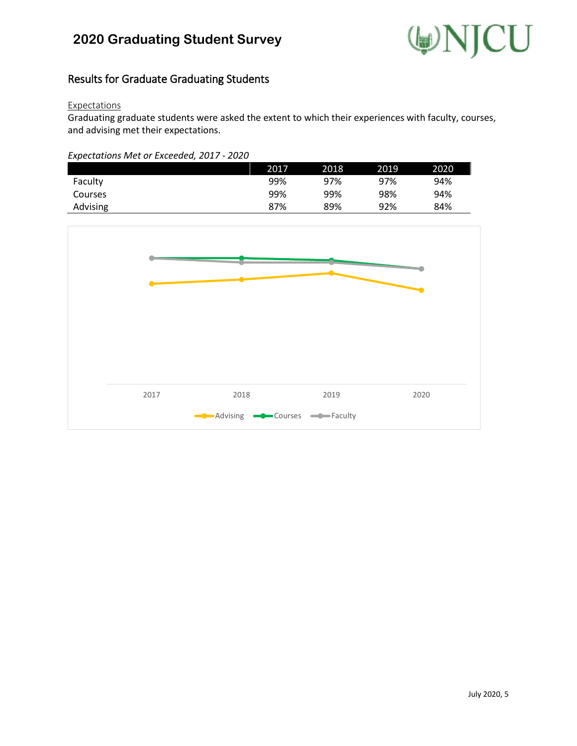

## Results for Graduate Graduating Students

#### **Expectations**

Graduating graduate students were asked the extent to which their experiences with faculty, courses, and advising met their expectations.

#### *Expectations Met or Exceeded, 2017 - 2020*

|          | 2017 | 2018 | 2019 | 2020 |
|----------|------|------|------|------|
| Faculty  | 99%  | 97%  | 97%  | 94%  |
| Courses  | 99%  | 99%  | 98%  | 94%  |
| Advising | 87%  | 89%  | 92%  | 84%  |

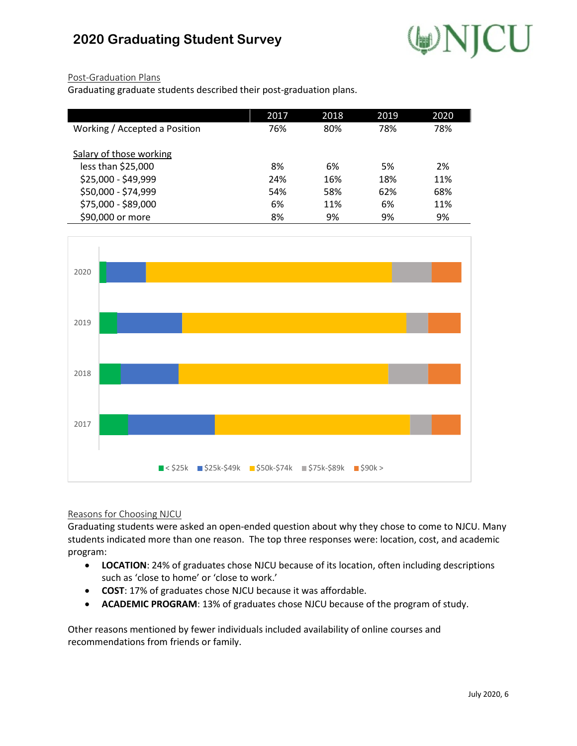

### Post-Graduation Plans

Graduating graduate students described their post-graduation plans.

|                               | 2017 | 2018 | 2019 | 2020 |
|-------------------------------|------|------|------|------|
| Working / Accepted a Position | 76%  | 80%  | 78%  | 78%  |
|                               |      |      |      |      |
| Salary of those working       |      |      |      |      |
| less than \$25,000            | 8%   | 6%   | 5%   | 2%   |
| \$25,000 - \$49,999           | 24%  | 16%  | 18%  | 11%  |
| \$50,000 - \$74,999           | 54%  | 58%  | 62%  | 68%  |
| \$75,000 - \$89,000           | 6%   | 11%  | 6%   | 11%  |
| \$90,000 or more              | 8%   | 9%   | 9%   | 9%   |



#### Reasons for Choosing NJCU

Graduating students were asked an open-ended question about why they chose to come to NJCU. Many students indicated more than one reason. The top three responses were: location, cost, and academic program:

- **LOCATION**: 24% of graduates chose NJCU because of its location, often including descriptions such as 'close to home' or 'close to work.'
- **COST**: 17% of graduates chose NJCU because it was affordable.
- **ACADEMIC PROGRAM**: 13% of graduates chose NJCU because of the program of study.

Other reasons mentioned by fewer individuals included availability of online courses and recommendations from friends or family.